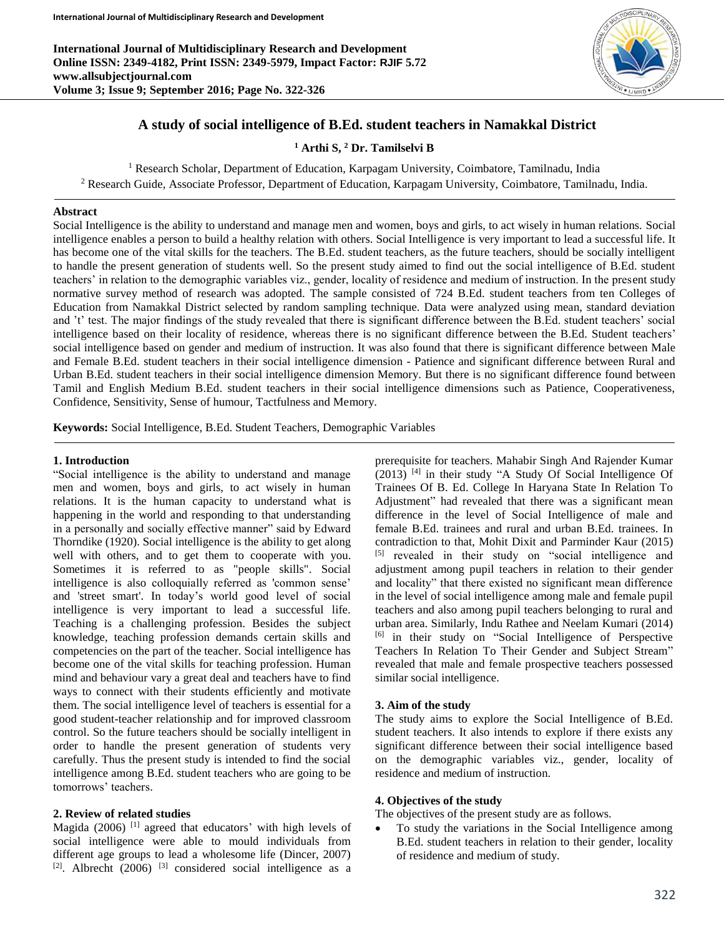**International Journal of Multidisciplinary Research and Development Online ISSN: 2349-4182, Print ISSN: 2349-5979, Impact Factor: RJIF 5.72 www.allsubjectjournal.com Volume 3; Issue 9; September 2016; Page No. 322-326**



# **A study of social intelligence of B.Ed. student teachers in Namakkal District**

**<sup>1</sup> Arthi S, <sup>2</sup> Dr. Tamilselvi B**

<sup>1</sup> Research Scholar, Department of Education, Karpagam University, Coimbatore, Tamilnadu, India

<sup>2</sup> Research Guide, Associate Professor, Department of Education, Karpagam University, Coimbatore, Tamilnadu, India.

### **Abstract**

Social Intelligence is the ability to understand and manage men and women, boys and girls, to act wisely in human relations. Social intelligence enables a person to build a healthy relation with others. Social Intelligence is very important to lead a successful life. It has become one of the vital skills for the teachers. The B.Ed. student teachers, as the future teachers, should be socially intelligent to handle the present generation of students well. So the present study aimed to find out the social intelligence of B.Ed. student teachers' in relation to the demographic variables viz., gender, locality of residence and medium of instruction. In the present study normative survey method of research was adopted. The sample consisted of 724 B.Ed. student teachers from ten Colleges of Education from Namakkal District selected by random sampling technique. Data were analyzed using mean, standard deviation and 't' test. The major findings of the study revealed that there is significant difference between the B.Ed. student teachers' social intelligence based on their locality of residence, whereas there is no significant difference between the B.Ed. Student teachers' social intelligence based on gender and medium of instruction. It was also found that there is significant difference between Male and Female B.Ed. student teachers in their social intelligence dimension - Patience and significant difference between Rural and Urban B.Ed. student teachers in their social intelligence dimension Memory. But there is no significant difference found between Tamil and English Medium B.Ed. student teachers in their social intelligence dimensions such as Patience, Cooperativeness, Confidence, Sensitivity, Sense of humour, Tactfulness and Memory.

**Keywords:** Social Intelligence, B.Ed. Student Teachers, Demographic Variables

#### **1. Introduction**

"Social intelligence is the ability to understand and manage men and women, boys and girls, to act wisely in human relations. It is the human capacity to understand what is happening in the world and responding to that understanding in a personally and socially effective manner" said by Edward Thorndike (1920). Social intelligence is the ability to get along well with others, and to get them to cooperate with you. Sometimes it is referred to as "people skills". Social intelligence is also colloquially referred as 'common sense' and 'street smart'. In today's world good level of social intelligence is very important to lead a successful life. Teaching is a challenging profession. Besides the subject knowledge, teaching profession demands certain skills and competencies on the part of the teacher. Social intelligence has become one of the vital skills for teaching profession. Human mind and behaviour vary a great deal and teachers have to find ways to connect with their students efficiently and motivate them. The social intelligence level of teachers is essential for a good student-teacher relationship and for improved classroom control. So the future teachers should be socially intelligent in order to handle the present generation of students very carefully. Thus the present study is intended to find the social intelligence among B.Ed. student teachers who are going to be tomorrows' teachers.

#### **2. Review of related studies**

Magida (2006)<sup>[1]</sup> agreed that educators' with high levels of social intelligence were able to mould individuals from different age groups to lead a wholesome life (Dincer, 2007)  $[2]$ . Albrecht (2006)  $[3]$  considered social intelligence as a prerequisite for teachers. Mahabir Singh And Rajender Kumar  $(2013)$ <sup>[4]</sup> in their study "A Study Of Social Intelligence Of Trainees Of B. Ed. College In Haryana State In Relation To Adjustment" had revealed that there was a significant mean difference in the level of Social Intelligence of male and female B.Ed. trainees and rural and urban B.Ed. trainees. In contradiction to that, Mohit Dixit and Parminder Kaur (2015) [5] revealed in their study on "social intelligence and adjustment among pupil teachers in relation to their gender and locality" that there existed no significant mean difference in the level of social intelligence among male and female pupil teachers and also among pupil teachers belonging to rural and urban area. Similarly, Indu Rathee and Neelam Kumari (2014) [6] in their study on "Social Intelligence of Perspective Teachers In Relation To Their Gender and Subject Stream" revealed that male and female prospective teachers possessed similar social intelligence.

#### **3. Aim of the study**

The study aims to explore the Social Intelligence of B.Ed. student teachers. It also intends to explore if there exists any significant difference between their social intelligence based on the demographic variables viz., gender, locality of residence and medium of instruction.

#### **4. Objectives of the study**

The objectives of the present study are as follows.

 To study the variations in the Social Intelligence among B.Ed. student teachers in relation to their gender, locality of residence and medium of study.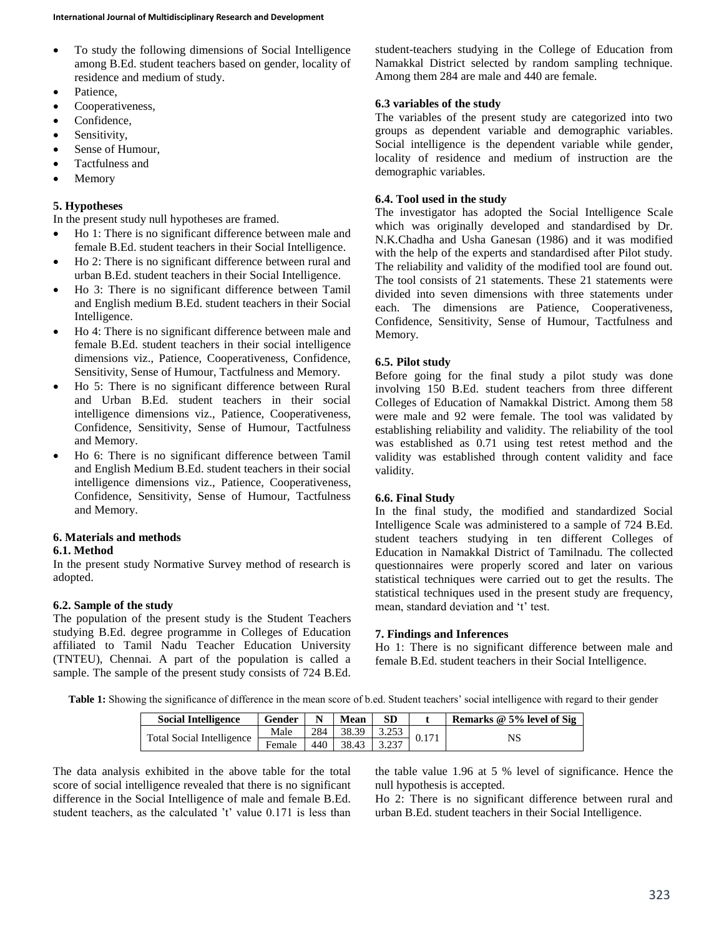- To study the following dimensions of Social Intelligence among B.Ed. student teachers based on gender, locality of residence and medium of study.
- Patience.
- Cooperativeness,
- Confidence,
- Sensitivity,
- Sense of Humour,
- Tactfulness and
- Memory

# **5. Hypotheses**

In the present study null hypotheses are framed.

- Ho 1: There is no significant difference between male and female B.Ed. student teachers in their Social Intelligence.
- Ho 2: There is no significant difference between rural and urban B.Ed. student teachers in their Social Intelligence.
- Ho 3: There is no significant difference between Tamil and English medium B.Ed. student teachers in their Social Intelligence.
- Ho 4: There is no significant difference between male and female B.Ed. student teachers in their social intelligence dimensions viz., Patience, Cooperativeness, Confidence, Sensitivity, Sense of Humour, Tactfulness and Memory.
- Ho 5: There is no significant difference between Rural and Urban B.Ed. student teachers in their social intelligence dimensions viz., Patience, Cooperativeness, Confidence, Sensitivity, Sense of Humour, Tactfulness and Memory.
- Ho 6: There is no significant difference between Tamil and English Medium B.Ed. student teachers in their social intelligence dimensions viz., Patience, Cooperativeness, Confidence, Sensitivity, Sense of Humour, Tactfulness and Memory.

### **6. Materials and methods**

### **6.1. Method**

In the present study Normative Survey method of research is adopted.

# **6.2. Sample of the study**

The population of the present study is the Student Teachers studying B.Ed. degree programme in Colleges of Education affiliated to Tamil Nadu Teacher Education University (TNTEU), Chennai. A part of the population is called a sample. The sample of the present study consists of 724 B.Ed.

student-teachers studying in the College of Education from Namakkal District selected by random sampling technique. Among them 284 are male and 440 are female.

# **6.3 variables of the study**

The variables of the present study are categorized into two groups as dependent variable and demographic variables. Social intelligence is the dependent variable while gender, locality of residence and medium of instruction are the demographic variables.

## **6.4. Tool used in the study**

The investigator has adopted the Social Intelligence Scale which was originally developed and standardised by Dr. N.K.Chadha and Usha Ganesan (1986) and it was modified with the help of the experts and standardised after Pilot study. The reliability and validity of the modified tool are found out. The tool consists of 21 statements. These 21 statements were divided into seven dimensions with three statements under each. The dimensions are Patience, Cooperativeness, Confidence, Sensitivity, Sense of Humour, Tactfulness and Memory.

## **6.5. Pilot study**

Before going for the final study a pilot study was done involving 150 B.Ed. student teachers from three different Colleges of Education of Namakkal District. Among them 58 were male and 92 were female. The tool was validated by establishing reliability and validity. The reliability of the tool was established as 0.71 using test retest method and the validity was established through content validity and face validity.

### **6.6. Final Study**

In the final study, the modified and standardized Social Intelligence Scale was administered to a sample of 724 B.Ed. student teachers studying in ten different Colleges of Education in Namakkal District of Tamilnadu. The collected questionnaires were properly scored and later on various statistical techniques were carried out to get the results. The statistical techniques used in the present study are frequency, mean, standard deviation and 't' test.

### **7. Findings and Inferences**

Ho 1: There is no significant difference between male and female B.Ed. student teachers in their Social Intelligence.

Table 1: Showing the significance of difference in the mean score of b.ed. Student teachers' social intelligence with regard to their gender

| <b>Social Intelligence</b>       | Gender |     | Mean  | SD | Remarks @ 5% level of Sig |  |
|----------------------------------|--------|-----|-------|----|---------------------------|--|
| <b>Total Social Intelligence</b> | Male   | 284 | 38.39 |    |                           |  |
|                                  | Female | 440 | 38.43 |    | NS                        |  |

The data analysis exhibited in the above table for the total score of social intelligence revealed that there is no significant difference in the Social Intelligence of male and female B.Ed. student teachers, as the calculated 't' value 0.171 is less than

the table value 1.96 at 5 % level of significance. Hence the null hypothesis is accepted.

Ho 2: There is no significant difference between rural and urban B.Ed. student teachers in their Social Intelligence.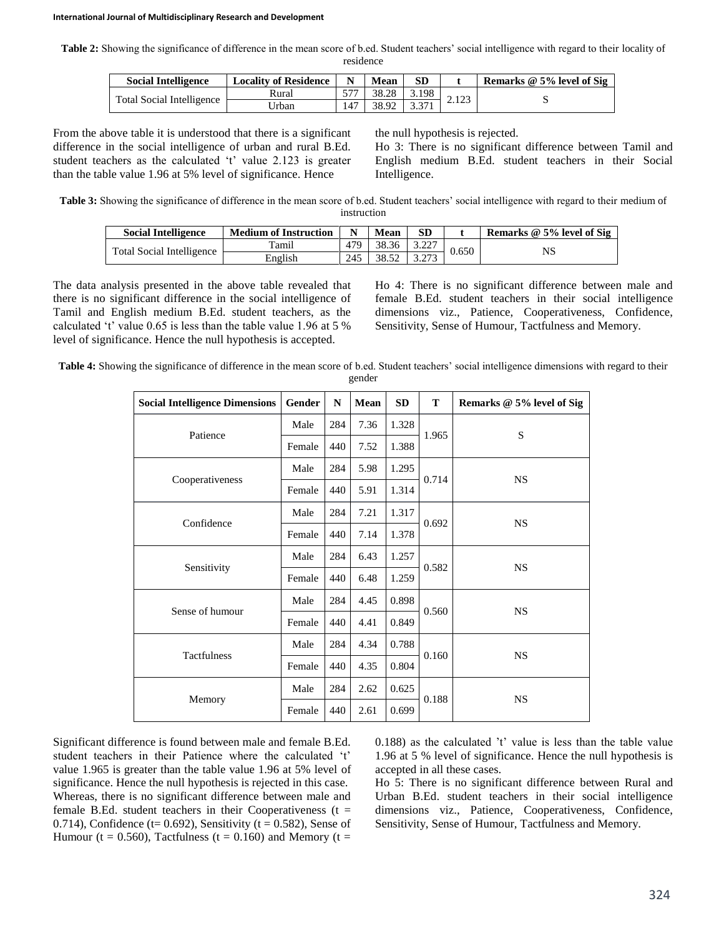#### **International Journal of Multidisciplinary Research and Development**

**Table 2:** Showing the significance of difference in the mean score of b.ed. Student teachers' social intelligence with regard to their locality of residence

| <b>Social Intelligence</b> | <b>Locality of Residence</b> |     | Mean  |       |  | Remarks @ 5% level of Sig |
|----------------------------|------------------------------|-----|-------|-------|--|---------------------------|
| Total Social Intelligence  | Rural                        |     | 38.28 | 3.198 |  |                           |
|                            | Jrban                        | 147 | 38.92 |       |  |                           |

From the above table it is understood that there is a significant difference in the social intelligence of urban and rural B.Ed. student teachers as the calculated 't' value 2.123 is greater than the table value 1.96 at 5% level of significance. Hence

the null hypothesis is rejected.

Ho 3: There is no significant difference between Tamil and English medium B.Ed. student teachers in their Social Intelligence.

**Table 3:** Showing the significance of difference in the mean score of b.ed. Student teachers' social intelligence with regard to their medium of instruction

| <b>Social Intelligence</b>       | <b>Medium of Instruction</b> |     | Mean  |       | Remarks @ 5% level of Sig |
|----------------------------------|------------------------------|-----|-------|-------|---------------------------|
| <b>Total Social Intelligence</b> | Tamil                        | 479 | 38.36 | 0.650 | NS                        |
|                                  | English                      | 245 | 38.52 |       |                           |

The data analysis presented in the above table revealed that there is no significant difference in the social intelligence of Tamil and English medium B.Ed. student teachers, as the calculated 't' value 0.65 is less than the table value 1.96 at 5 % level of significance. Hence the null hypothesis is accepted.

Ho 4: There is no significant difference between male and female B.Ed. student teachers in their social intelligence dimensions viz., Patience, Cooperativeness, Confidence, Sensitivity, Sense of Humour, Tactfulness and Memory.

| Table 4: Showing the significance of difference in the mean score of b.ed. Student teachers' social intelligence dimensions with regard to their |  |
|--------------------------------------------------------------------------------------------------------------------------------------------------|--|
| gender                                                                                                                                           |  |

| <b>Social Intelligence Dimensions</b> | Gender | N   | Mean | <b>SD</b> | T     | Remarks @ 5% level of Sig |  |
|---------------------------------------|--------|-----|------|-----------|-------|---------------------------|--|
|                                       | Male   | 284 | 7.36 | 1.328     |       |                           |  |
| Patience                              | Female | 440 | 7.52 | 1.388     | 1.965 | S                         |  |
|                                       | Male   | 284 | 5.98 | 1.295     |       |                           |  |
| Cooperativeness                       | Female | 440 | 5.91 | 1.314     | 0.714 | <b>NS</b>                 |  |
| Confidence                            | Male   | 284 | 7.21 | 1.317     |       |                           |  |
|                                       | Female | 440 | 7.14 | 1.378     | 0.692 | <b>NS</b>                 |  |
|                                       | Male   | 284 | 6.43 | 1.257     |       | <b>NS</b>                 |  |
| Sensitivity                           | Female | 440 | 6.48 | 1.259     | 0.582 |                           |  |
|                                       | Male   | 284 | 4.45 | 0.898     |       |                           |  |
| Sense of humour                       | Female | 440 | 4.41 | 0.849     | 0.560 | <b>NS</b>                 |  |
|                                       | Male   | 284 | 4.34 | 0.788     | 0.160 | <b>NS</b>                 |  |
| Tactfulness                           | Female | 440 | 4.35 | 0.804     |       |                           |  |
|                                       | Male   | 284 | 2.62 | 0.625     |       |                           |  |
| Memory                                | Female | 440 | 2.61 | 0.699     | 0.188 | <b>NS</b>                 |  |

Significant difference is found between male and female B.Ed. student teachers in their Patience where the calculated 't' value 1.965 is greater than the table value 1.96 at 5% level of significance. Hence the null hypothesis is rejected in this case. Whereas, there is no significant difference between male and female B.Ed. student teachers in their Cooperativeness  $(t =$ 0.714), Confidence (t=  $0.692$ ), Sensitivity (t =  $0.582$ ), Sense of Humour (t = 0.560), Tactfulness (t = 0.160) and Memory (t =

0.188) as the calculated 't' value is less than the table value 1.96 at 5 % level of significance. Hence the null hypothesis is accepted in all these cases.

Ho 5: There is no significant difference between Rural and Urban B.Ed. student teachers in their social intelligence dimensions viz., Patience, Cooperativeness, Confidence, Sensitivity, Sense of Humour, Tactfulness and Memory.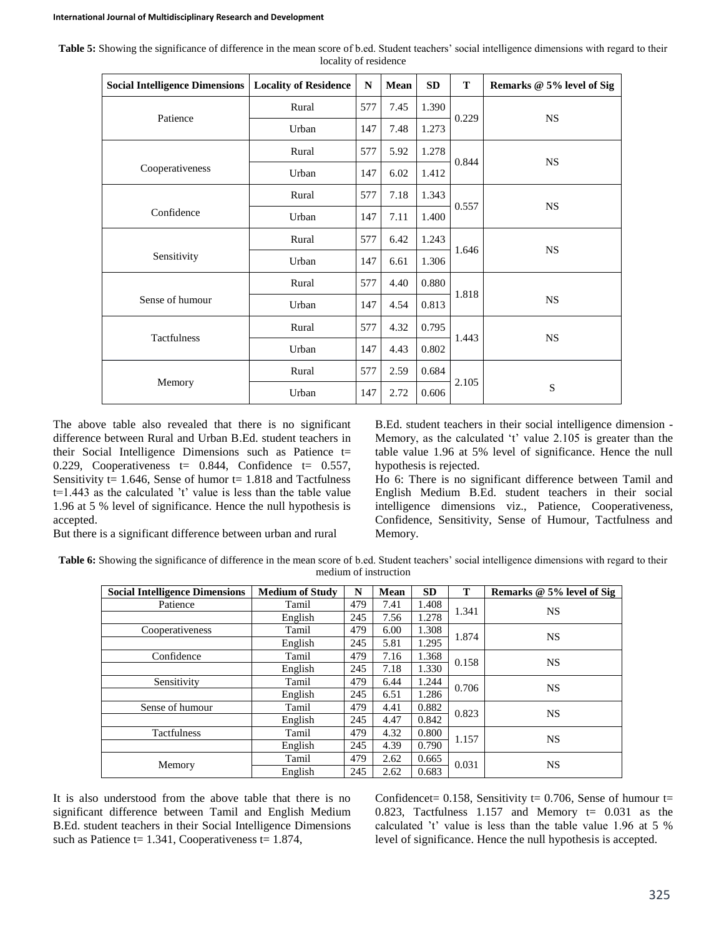| <b>Social Intelligence Dimensions   Locality of Residence</b> |              |     | Mean | SD    | T     | Remarks @ 5% level of Sig |
|---------------------------------------------------------------|--------------|-----|------|-------|-------|---------------------------|
| Patience                                                      | Rural        | 577 | 7.45 | 1.390 |       |                           |
|                                                               | Urban        | 147 | 7.48 | 1.273 | 0.229 | <b>NS</b>                 |
|                                                               | 577<br>Rural |     | 5.92 | 1.278 | 0.844 | <b>NS</b>                 |
| Cooperativeness                                               | Urban        | 147 | 6.02 | 1.412 |       |                           |
|                                                               | Rural        | 577 | 7.18 | 1.343 | 0.557 | <b>NS</b>                 |
| Confidence                                                    | Urban        | 147 | 7.11 | 1.400 |       |                           |
|                                                               | Rural        | 577 | 6.42 | 1.243 |       |                           |
| Sensitivity                                                   | Urban        | 147 | 6.61 | 1.306 | 1.646 | <b>NS</b>                 |
|                                                               | Rural        | 577 | 4.40 | 0.880 | 1.818 |                           |
| Sense of humour                                               | Urban        | 147 | 4.54 | 0.813 |       | <b>NS</b>                 |
| <b>Tactfulness</b>                                            | Rural        | 577 | 4.32 | 0.795 | 1.443 | <b>NS</b>                 |
|                                                               | Urban        | 147 | 4.43 | 0.802 |       |                           |
|                                                               | Rural        | 577 | 2.59 | 0.684 | 2.105 |                           |
| Memory                                                        | Urban        | 147 | 2.72 | 0.606 |       | S                         |

Table 5: Showing the significance of difference in the mean score of b.ed. Student teachers' social intelligence dimensions with regard to their locality of residence

The above table also revealed that there is no significant difference between Rural and Urban B.Ed. student teachers in their Social Intelligence Dimensions such as Patience t= 0.229, Cooperativeness  $t= 0.844$ , Confidence  $t= 0.557$ , Sensitivity  $t= 1.646$ , Sense of humor  $t= 1.818$  and Tactfulness  $t=1.443$  as the calculated 't' value is less than the table value 1.96 at 5 % level of significance. Hence the null hypothesis is accepted.

But there is a significant difference between urban and rural

B.Ed. student teachers in their social intelligence dimension - Memory, as the calculated 't' value 2.105 is greater than the table value 1.96 at 5% level of significance. Hence the null hypothesis is rejected.

Ho 6: There is no significant difference between Tamil and English Medium B.Ed. student teachers in their social intelligence dimensions viz., Patience, Cooperativeness, Confidence, Sensitivity, Sense of Humour, Tactfulness and Memory.

Table 6: Showing the significance of difference in the mean score of b.ed. Student teachers' social intelligence dimensions with regard to their medium of instruction

| <b>Social Intelligence Dimensions</b> | <b>Medium of Study</b> | N   | Mean | <b>SD</b> | T     | Remarks @ 5% level of Sig |
|---------------------------------------|------------------------|-----|------|-----------|-------|---------------------------|
| Patience                              | Tamil                  | 479 | 7.41 | 1.408     | 1.341 | <b>NS</b>                 |
|                                       | English                | 245 | 7.56 | 1.278     |       |                           |
| Cooperativeness                       | Tamil                  | 479 | 6.00 | 1.308     | 1.874 |                           |
|                                       | English                | 245 | 5.81 | 1.295     |       | <b>NS</b>                 |
| Confidence                            | Tamil                  | 479 | 7.16 | 1.368     | 0.158 | <b>NS</b>                 |
|                                       | English                | 245 | 7.18 | 1.330     |       |                           |
| Sensitivity                           | Tamil                  | 479 | 6.44 | 1.244     | 0.706 |                           |
|                                       | English                | 245 | 6.51 | 1.286     |       | <b>NS</b>                 |
| Sense of humour                       | Tamil                  | 479 | 4.41 | 0.882     | 0.823 | <b>NS</b>                 |
|                                       | English                | 245 | 4.47 | 0.842     |       |                           |
| Tactfulness                           | Tamil                  | 479 | 4.32 | 0.800     | 1.157 | <b>NS</b>                 |
|                                       | English                | 245 | 4.39 | 0.790     |       |                           |
|                                       | Tamil                  | 479 | 2.62 | 0.665     | 0.031 | <b>NS</b>                 |
| Memory                                | English                | 245 | 2.62 | 0.683     |       |                           |

It is also understood from the above table that there is no significant difference between Tamil and English Medium B.Ed. student teachers in their Social Intelligence Dimensions such as Patience  $t= 1.341$ , Cooperativeness  $t= 1.874$ ,

Confidencet= 0.158, Sensitivity t= 0.706, Sense of humour t= 0.823, Tactfulness  $1.157$  and Memory  $t=$  0.031 as the calculated 't' value is less than the table value 1.96 at 5 % level of significance. Hence the null hypothesis is accepted.